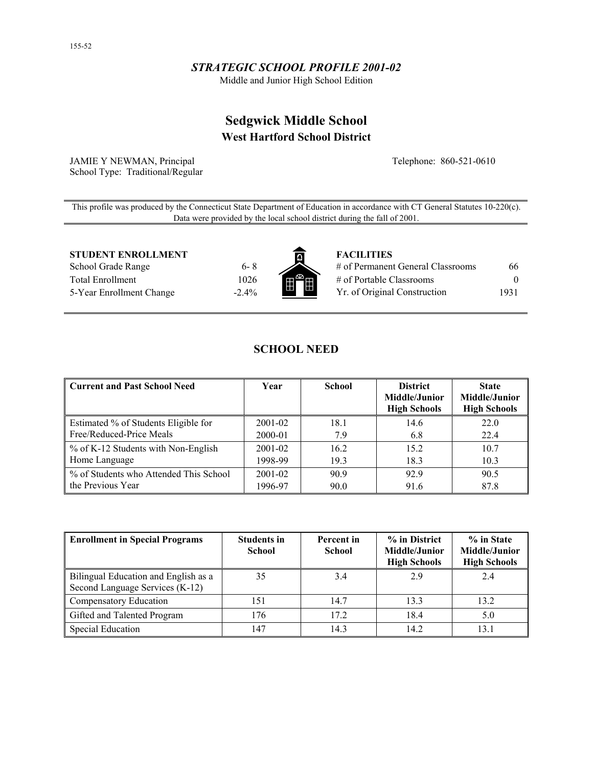# *STRATEGIC SCHOOL PROFILE 2001-02*

Middle and Junior High School Edition

# **Sedgwick Middle School West Hartford School District**

JAMIE Y NEWMAN, Principal School Type: Traditional/Regular Telephone: 860-521-0610

This profile was produced by the Connecticut State Department of Education in accordance with CT General Statutes 10-220(c). Data were provided by the local school district during the fall of 2001.

**STUDENT ENROLLMENT FACILITIES** 

School Grade Range 6-8 Total Enrollment 1026 5-Year Enrollment Change -2.4%



| # of Permanent General Classrooms | 66       |
|-----------------------------------|----------|
| # of Portable Classrooms          | $\theta$ |
| Yr. of Original Construction      | 1931     |

# **SCHOOL NEED**

| Current and Past School Need           | Year        | <b>School</b> | <b>District</b><br>Middle/Junior<br><b>High Schools</b> | <b>State</b><br>Middle/Junior<br><b>High Schools</b> |
|----------------------------------------|-------------|---------------|---------------------------------------------------------|------------------------------------------------------|
| Estimated % of Students Eligible for   | 2001-02     | 18.1          | 14.6                                                    | 22.0                                                 |
| Free/Reduced-Price Meals               | 2000-01     | 7.9           | 6.8                                                     | 22.4                                                 |
| % of K-12 Students with Non-English    | $2001 - 02$ | 16.2          | 15.2                                                    | 10.7                                                 |
| Home Language                          | 1998-99     | 19.3          | 18.3                                                    | 10.3                                                 |
| % of Students who Attended This School | 2001-02     | 90.9          | 92.9                                                    | 90.5                                                 |
| the Previous Year                      | 1996-97     | 90.0          | 91.6                                                    | 87.8                                                 |

| <b>Enrollment in Special Programs</b>                                   | <b>Students in</b><br><b>School</b> | Percent in<br><b>School</b> | % in District<br>Middle/Junior<br><b>High Schools</b> | % in State<br>Middle/Junior<br><b>High Schools</b> |
|-------------------------------------------------------------------------|-------------------------------------|-----------------------------|-------------------------------------------------------|----------------------------------------------------|
| Bilingual Education and English as a<br>Second Language Services (K-12) | 35                                  | 3.4                         | 2.9                                                   | 2.4                                                |
| Compensatory Education                                                  | 151                                 | 14.7                        | 13.3                                                  | 13.2                                               |
| Gifted and Talented Program                                             | 176                                 | 17.2                        | 18.4                                                  | 5.0                                                |
| Special Education                                                       | 147                                 | 14.3                        | 14.2                                                  | 13.1                                               |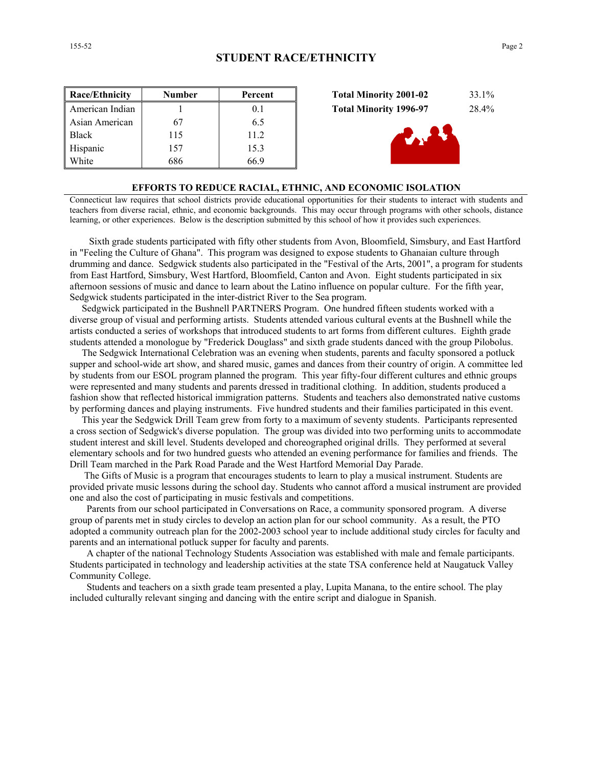| <b>Race/Ethnicity</b> | <b>Number</b> | Percent |
|-----------------------|---------------|---------|
| American Indian       |               | 01      |
| Asian American        | 67            | 65      |
| <b>Black</b>          | 115           | 11.2    |
| Hispanic              | 157           | 15.3    |
| White                 | 686           | 66.9    |





## **EFFORTS TO REDUCE RACIAL, ETHNIC, AND ECONOMIC ISOLATION**

Connecticut law requires that school districts provide educational opportunities for their students to interact with students and teachers from diverse racial, ethnic, and economic backgrounds. This may occur through programs with other schools, distance learning, or other experiences. Below is the description submitted by this school of how it provides such experiences.

 Sixth grade students participated with fifty other students from Avon, Bloomfield, Simsbury, and East Hartford in "Feeling the Culture of Ghana". This program was designed to expose students to Ghanaian culture through drumming and dance. Sedgwick students also participated in the "Festival of the Arts, 2001", a program for students from East Hartford, Simsbury, West Hartford, Bloomfield, Canton and Avon. Eight students participated in six afternoon sessions of music and dance to learn about the Latino influence on popular culture. For the fifth year, Sedgwick students participated in the inter-district River to the Sea program.

 Sedgwick participated in the Bushnell PARTNERS Program. One hundred fifteen students worked with a diverse group of visual and performing artists. Students attended various cultural events at the Bushnell while the artists conducted a series of workshops that introduced students to art forms from different cultures. Eighth grade students attended a monologue by "Frederick Douglass" and sixth grade students danced with the group Pilobolus.

 The Sedgwick International Celebration was an evening when students, parents and faculty sponsored a potluck supper and school-wide art show, and shared music, games and dances from their country of origin. A committee led by students from our ESOL program planned the program. This year fifty-four different cultures and ethnic groups were represented and many students and parents dressed in traditional clothing. In addition, students produced a fashion show that reflected historical immigration patterns. Students and teachers also demonstrated native customs by performing dances and playing instruments. Five hundred students and their families participated in this event.

 This year the Sedgwick Drill Team grew from forty to a maximum of seventy students. Participants represented a cross section of Sedgwick's diverse population. The group was divided into two performing units to accommodate student interest and skill level. Students developed and choreographed original drills. They performed at several elementary schools and for two hundred guests who attended an evening performance for families and friends. The Drill Team marched in the Park Road Parade and the West Hartford Memorial Day Parade.

 The Gifts of Music is a program that encourages students to learn to play a musical instrument. Students are provided private music lessons during the school day. Students who cannot afford a musical instrument are provided one and also the cost of participating in music festivals and competitions.

 Parents from our school participated in Conversations on Race, a community sponsored program. A diverse group of parents met in study circles to develop an action plan for our school community. As a result, the PTO adopted a community outreach plan for the 2002-2003 school year to include additional study circles for faculty and parents and an international potluck supper for faculty and parents.

 A chapter of the national Technology Students Association was established with male and female participants. Students participated in technology and leadership activities at the state TSA conference held at Naugatuck Valley Community College.

 Students and teachers on a sixth grade team presented a play, Lupita Manana, to the entire school. The play included culturally relevant singing and dancing with the entire script and dialogue in Spanish.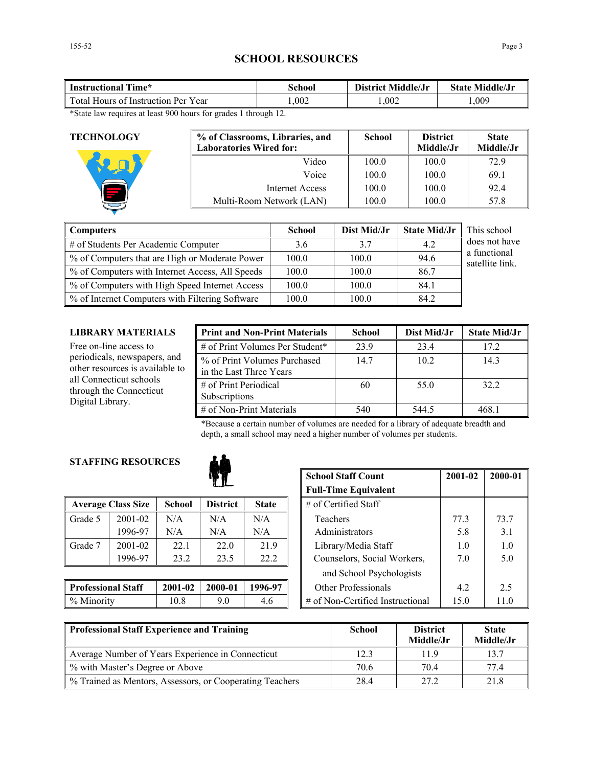# **SCHOOL RESOURCES**

| Time*<br>Instructional                 | School | District Middle/Jr | <b>State Middle/Jr</b> |  |
|----------------------------------------|--------|--------------------|------------------------|--|
| Total Hours of<br>Instruction Per Year | .002   | .002               | .009                   |  |

\*State law requires at least 900 hours for grades 1 through 12.

| <b>TECHNOLOGY</b> | % of Classrooms, Libraries, and<br><b>Laboratories Wired for:</b> | <b>School</b> | <b>District</b><br>Middle/Jr | <b>State</b><br>Middle/Jr |
|-------------------|-------------------------------------------------------------------|---------------|------------------------------|---------------------------|
|                   | Video                                                             | 100.0         | 100.0                        | 72.9                      |
|                   | Voice                                                             | 100.0         | 100.0                        | 69.1                      |
|                   | Internet Access                                                   | 100.0         | 100.0                        | 92.4                      |
|                   | Multi-Room Network (LAN)                                          | 100.0         | 100.0                        | 57.8                      |

| <b>Computers</b>                                | <b>School</b> | Dist Mid/Jr | <b>State Mid/Jr</b> | This school                     |
|-------------------------------------------------|---------------|-------------|---------------------|---------------------------------|
| # of Students Per Academic Computer             | 3.6           | 3.7         | 4.2                 | does not have                   |
| % of Computers that are High or Moderate Power  | 100.0         | 100.0       | 94.6                | a functional<br>satellite link. |
| % of Computers with Internet Access, All Speeds | 100.0         | 100.0       | 86.7                |                                 |
| % of Computers with High Speed Internet Access  | 100.0         | 100.0       | 84.1                |                                 |
| % of Internet Computers with Filtering Software | 100.0         | 100.0       | 84.2                |                                 |

## **LIBRARY MATERIALS**

| LIBRARY MATERIALS                                                      | <b>Print and Non-Print Materials</b>                    | <b>School</b> | Dist Mid/Jr | <b>State Mid/Jr</b> |
|------------------------------------------------------------------------|---------------------------------------------------------|---------------|-------------|---------------------|
| Free on-line access to                                                 | # of Print Volumes Per Student*                         | 23.9          | 23.4        | 172                 |
| periodicals, newspapers, and<br>other resources is available to        | % of Print Volumes Purchased<br>in the Last Three Years | 14.7          | 10.2        | 143                 |
| all Connecticut schools<br>through the Connecticut<br>Digital Library. | # of Print Periodical<br>Subscriptions                  | 60            | 55.0        | 32.2                |
|                                                                        | # of Non-Print Materials                                | 540           | 544.5       | 468.1               |

\*Because a certain number of volumes are needed for a library of adequate breadth and depth, a small school may need a higher number of volumes per students.

# **STAFFING RESOURCES**



|         | <b>Average Class Size</b> | <b>School</b> | <b>District</b> | <b>State</b> | $\#$ of Certified Staff                                                                                                                                                                                                                                                                                                                                                  |      |      |
|---------|---------------------------|---------------|-----------------|--------------|--------------------------------------------------------------------------------------------------------------------------------------------------------------------------------------------------------------------------------------------------------------------------------------------------------------------------------------------------------------------------|------|------|
| Grade 5 | 2001-02                   | N/A           | N/A             | N/A          | Teachers                                                                                                                                                                                                                                                                                                                                                                 | 77.3 | 73.7 |
|         | 1996-97                   | N/A           | N/A             | N/A          | Administrators                                                                                                                                                                                                                                                                                                                                                           | 5.8  |      |
| Grade 7 | 2001-02                   | 22.1          | 22.0            | 21.9         | Library/Media Staff                                                                                                                                                                                                                                                                                                                                                      | 1.0  |      |
|         | 1996-97                   | 23.2          | 23.5            | 22.2         | Counselors, Social Workers,                                                                                                                                                                                                                                                                                                                                              | 7.0  |      |
|         |                           |               |                 |              | $101$ 1 $\overline{1}$ 1 $\overline{1}$ $\overline{1}$ 1 $\overline{1}$ $\overline{1}$ $\overline{1}$ $\overline{1}$ $\overline{1}$ $\overline{1}$ $\overline{1}$ $\overline{1}$ $\overline{1}$ $\overline{1}$ $\overline{1}$ $\overline{1}$ $\overline{1}$ $\overline{1}$ $\overline{1}$ $\overline{1}$ $\overline{1}$ $\overline{1}$ $\overline{1}$ $\overline{1}$ $\$ |      |      |

| <b>Professional Staff</b> | 2001-02 | 2000-01 | 1996-97<br>Other Professionals |  |                                  |  |
|---------------------------|---------|---------|--------------------------------|--|----------------------------------|--|
| % Minority                | 0.8     |         |                                |  | # of Non-Certified Instructional |  |

|           |               |                 | <b>School Staff Count</b><br><b>Full-Time Equivalent</b> | 2001-02                  | 2000-01                          |      |      |
|-----------|---------------|-----------------|----------------------------------------------------------|--------------------------|----------------------------------|------|------|
| lass Size | <b>School</b> | <b>District</b> | <b>State</b>                                             |                          | $\#$ of Certified Staff          |      |      |
| 2001-02   | N/A           | N/A             | N/A                                                      |                          | Teachers                         | 77.3 | 73.7 |
| 1996-97   | N/A           | N/A             | N/A                                                      |                          | Administrators                   | 5.8  | 3.1  |
| 2001-02   | 22.1          | 22.0            | 21.9                                                     |                          | Library/Media Staff              | 1.0  | 1.0  |
| 1996-97   | 23.2          | 23.5            | 22.2                                                     |                          | Counselors, Social Workers,      | 7.0  | 5.0  |
|           |               |                 |                                                          | and School Psychologists |                                  |      |      |
| l Staff   | 2001-02       | 2000-01         | 1996-97                                                  |                          | <b>Other Professionals</b>       | 4.2  | 2.5  |
|           | 10.8          | 9.0             | 4.6                                                      |                          | # of Non-Certified Instructional | 15.0 | 11.0 |

| Professional Staff Experience and Training                 | <b>School</b> | <b>District</b><br>Middle/Jr | <b>State</b><br>Middle/Jr |
|------------------------------------------------------------|---------------|------------------------------|---------------------------|
| Average Number of Years Experience in Connecticut          | 12.3          | 119                          | 13.7                      |
| % with Master's Degree or Above                            | 70.6          | 704                          | 77 4                      |
| 1 % Trained as Mentors, Assessors, or Cooperating Teachers | 28.4          | 27 2                         | 21.8                      |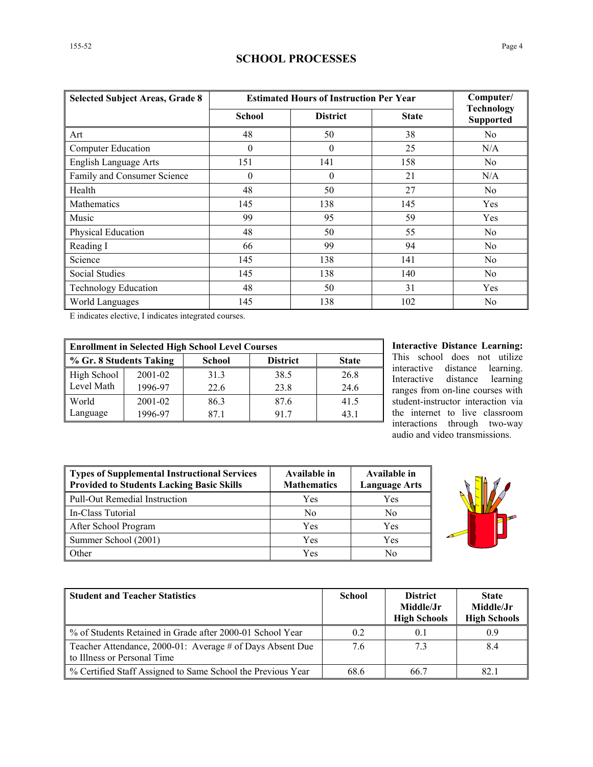# **SCHOOL PROCESSES**

| <b>Selected Subject Areas, Grade 8</b> | <b>Estimated Hours of Instruction Per Year</b> | Computer/       |              |                                       |  |
|----------------------------------------|------------------------------------------------|-----------------|--------------|---------------------------------------|--|
|                                        | <b>School</b>                                  | <b>District</b> | <b>State</b> | <b>Technology</b><br><b>Supported</b> |  |
| Art                                    | 48                                             | 50              | 38           | N <sub>0</sub>                        |  |
| <b>Computer Education</b>              | $\theta$                                       | $\theta$        | 25           | N/A                                   |  |
| English Language Arts                  | 151                                            | 141             | 158          | N <sub>0</sub>                        |  |
| Family and Consumer Science            | $\theta$                                       | $\theta$        | 21           | N/A                                   |  |
| Health                                 | 48                                             | 50              | 27           | N <sub>0</sub>                        |  |
| <b>Mathematics</b>                     | 145                                            | 138             | 145          | Yes                                   |  |
| Music                                  | 99                                             | 95              | 59           | Yes                                   |  |
| Physical Education                     | 48                                             | 50              | 55           | N <sub>0</sub>                        |  |
| Reading I                              | 66                                             | 99              | 94           | N <sub>0</sub>                        |  |
| Science                                | 145                                            | 138             | 141          | N <sub>0</sub>                        |  |
| <b>Social Studies</b>                  | 145                                            | 138             | 140          | N <sub>0</sub>                        |  |
| <b>Technology Education</b>            | 48                                             | 50              | 31           | Yes                                   |  |
| World Languages                        | 145                                            | 138             | 102          | N <sub>0</sub>                        |  |

E indicates elective, I indicates integrated courses.

| <b>Enrollment in Selected High School Level Courses</b> |         |               |                 |              |  |  |  |
|---------------------------------------------------------|---------|---------------|-----------------|--------------|--|--|--|
| ↓ % Gr. 8 Students Taking                               |         | <b>School</b> | <b>District</b> | <b>State</b> |  |  |  |
| High School                                             | 2001-02 | 31.3          | 38.5            | 26.8         |  |  |  |
| Level Math                                              | 1996-97 | 22.6          | 23.8            | 24.6         |  |  |  |
| World                                                   | 2001-02 | 86.3          | 87.6            | 41.5         |  |  |  |
| Language                                                | 1996-97 | 871           | 917             | 431          |  |  |  |

**Interactive Distance Learning:** This school does not utilize interactive distance learning. Interactive distance learning ranges from on-line courses with student-instructor interaction via the internet to live classroom interactions through two-way audio and video transmissions.

| <b>Types of Supplemental Instructional Services</b><br><b>Provided to Students Lacking Basic Skills</b> | Available in<br><b>Mathematics</b> | Available in<br><b>Language Arts</b> |  |
|---------------------------------------------------------------------------------------------------------|------------------------------------|--------------------------------------|--|
| <b>Pull-Out Remedial Instruction</b>                                                                    | Yes                                | Yes                                  |  |
| In-Class Tutorial                                                                                       | No                                 | No                                   |  |
| After School Program                                                                                    | Yes                                | Yes                                  |  |
| Summer School (2001)                                                                                    | Yes                                | Yes                                  |  |
| Other                                                                                                   | Yes                                | No                                   |  |



| <b>Student and Teacher Statistics</b>                                                    | <b>School</b> | <b>District</b><br>Middle/Jr<br><b>High Schools</b> | <b>State</b><br>Middle/Jr<br><b>High Schools</b> |
|------------------------------------------------------------------------------------------|---------------|-----------------------------------------------------|--------------------------------------------------|
| % of Students Retained in Grade after 2000-01 School Year                                | 0.2           | 0.1                                                 |                                                  |
| Teacher Attendance, 2000-01: Average # of Days Absent Due<br>to Illness or Personal Time | 76            | 7.3                                                 | 8.4                                              |
| % Certified Staff Assigned to Same School the Previous Year                              | 68.6          | 66.7                                                | 82.1                                             |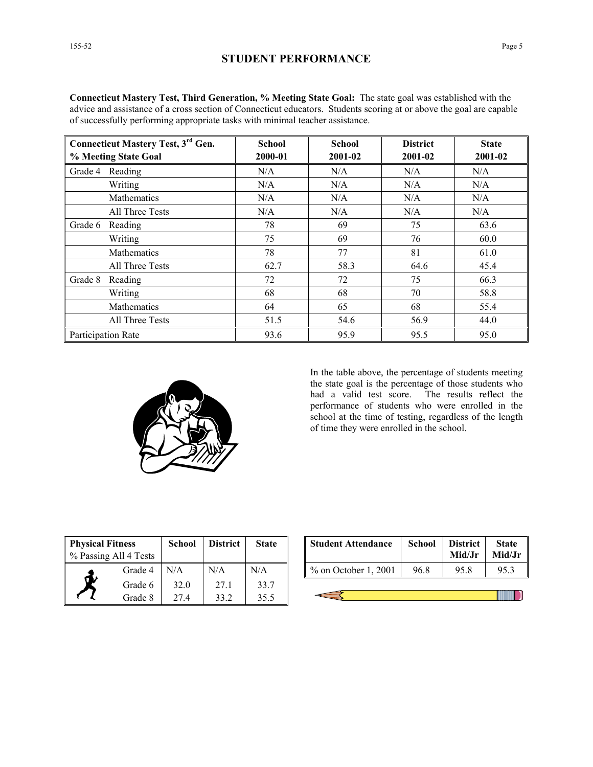**Connecticut Mastery Test, Third Generation, % Meeting State Goal:** The state goal was established with the advice and assistance of a cross section of Connecticut educators. Students scoring at or above the goal are capable of successfully performing appropriate tasks with minimal teacher assistance. **Connecticut Mastery Test, 3<sup>rd</sup> Gen.** | **School | School | District | State** 

| Connecticut Mastery Test, 3 <sup>rd</sup> Gen. | School  | School  | <b>District</b> | <b>State</b> |
|------------------------------------------------|---------|---------|-----------------|--------------|
| % Meeting State Goal                           | 2000-01 | 2001-02 | 2001-02         | 2001-02      |
| Grade 4 Reading                                | N/A     | N/A     | N/A             | N/A          |
| Writing                                        | N/A     | N/A     | N/A             | N/A          |
| Mathematics                                    | N/A     | N/A     | N/A             | N/A          |
| All Three Tests                                | N/A     | N/A     | N/A             | N/A          |
| Grade 6<br>Reading                             | 78      | 69      | 75              | 63.6         |
| Writing                                        | 75      | 69      | 76              | 60.0         |
| Mathematics                                    | 78      | 77      | 81              | 61.0         |
| All Three Tests                                | 62.7    | 58.3    | 64.6            | 45.4         |
| Grade 8<br>Reading                             | 72      | 72      | 75              | 66.3         |
| Writing                                        | 68      | 68      | 70              | 58.8         |
| <b>Mathematics</b>                             | 64      | 65      | 68              | 55.4         |
| All Three Tests                                | 51.5    | 54.6    | 56.9            | 44.0         |
| Participation Rate                             | 93.6    | 95.9    | 95.5            | 95.0         |



In the table above, the percentage of students meeting the state goal is the percentage of those students who had a valid test score. The results reflect the performance of students who were enrolled in the school at the time of testing, regardless of the length of time they were enrolled in the school.

| <b>Physical Fitness</b><br>% Passing All 4 Tests |         | <b>School</b> | <b>District</b> | <b>State</b> |
|--------------------------------------------------|---------|---------------|-----------------|--------------|
|                                                  | Grade 4 | N/A           | N/A             | N/A          |
|                                                  | Grade 6 | 32.0          | 271             | 33.7         |
|                                                  | Grade 8 | 274           | 33.2            | 35.5         |

| ess<br>l 4 Tests | <b>School</b> | <b>District</b> | <b>State</b> | <b>Student Attendance</b> | <b>School</b> | <b>District</b><br>Mid/Jr | <b>State</b><br>Mid/Jr |
|------------------|---------------|-----------------|--------------|---------------------------|---------------|---------------------------|------------------------|
| Grade 4          | N/A           | N/A             | N/A          | $%$ on October 1, 2001    | 96.8          | 95.8                      | 95.3                   |
| Grade 6          | 32.0          | 27.1            | 33.7         |                           |               |                           |                        |
| Grade 8          | 27 A          |                 |              |                           |               |                           |                        |